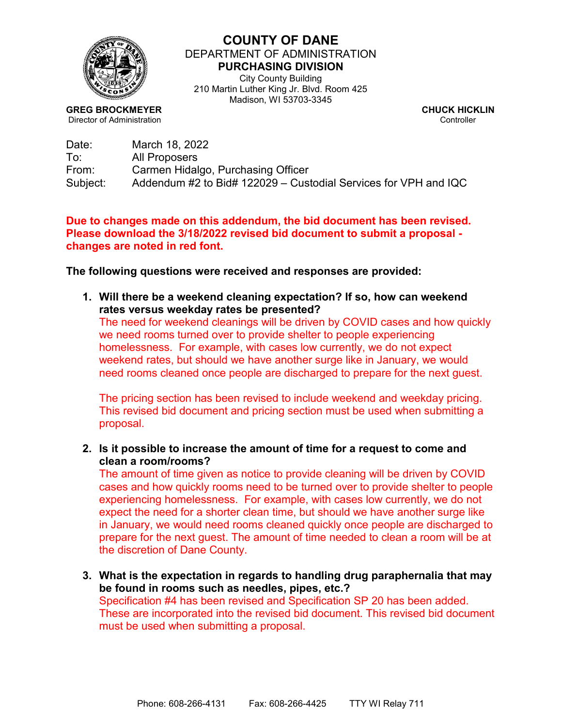

## **COUNTY OF DANE** DEPARTMENT OF ADMINISTRATION **PURCHASING DIVISION** City County Building

210 Martin Luther King Jr. Blvd. Room 425 Madison, WI 53703-3345

**GREG BROCKMEYER CHUCK HICKLIN**<br>Director of Administration **CHUCK HICKLIN** Director of Administration

| Date:    | March 18, 2022                                                  |
|----------|-----------------------------------------------------------------|
| To:      | All Proposers                                                   |
| From:    | Carmen Hidalgo, Purchasing Officer                              |
| Subject: | Addendum #2 to Bid# 122029 – Custodial Services for VPH and IQC |

## **Due to changes made on this addendum, the bid document has been revised. Please download the 3/18/2022 revised bid document to submit a proposal changes are noted in red font.**

**The following questions were received and responses are provided:**

**1. Will there be a weekend cleaning expectation? If so, how can weekend rates versus weekday rates be presented?**

The need for weekend cleanings will be driven by COVID cases and how quickly we need rooms turned over to provide shelter to people experiencing homelessness. For example, with cases low currently, we do not expect weekend rates, but should we have another surge like in January, we would need rooms cleaned once people are discharged to prepare for the next guest.

The pricing section has been revised to include weekend and weekday pricing. This revised bid document and pricing section must be used when submitting a proposal.

**2. Is it possible to increase the amount of time for a request to come and clean a room/rooms?**

The amount of time given as notice to provide cleaning will be driven by COVID cases and how quickly rooms need to be turned over to provide shelter to people experiencing homelessness. For example, with cases low currently, we do not expect the need for a shorter clean time, but should we have another surge like in January, we would need rooms cleaned quickly once people are discharged to prepare for the next guest. The amount of time needed to clean a room will be at the discretion of Dane County.

**3. What is the expectation in regards to handling drug paraphernalia that may be found in rooms such as needles, pipes, etc.?**  Specification #4 has been revised and Specification SP 20 has been added. These are incorporated into the revised bid document. This revised bid document

must be used when submitting a proposal.